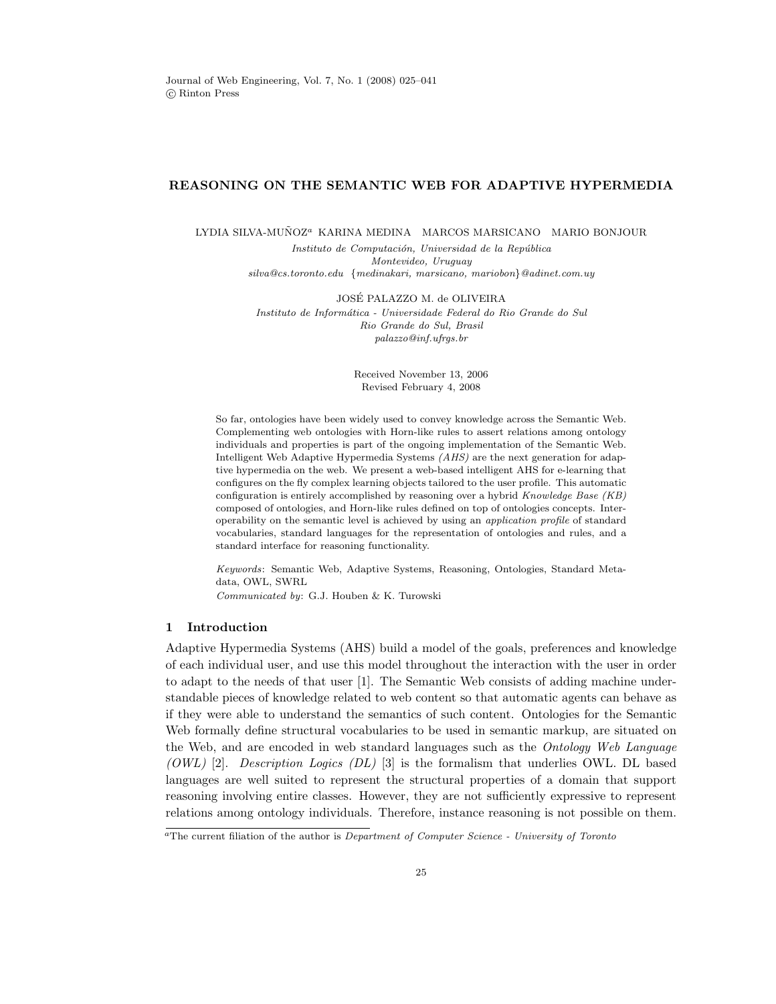## REASONING ON THE SEMANTIC WEB FOR ADAPTIVE HYPERMEDIA

LYDIA SILVA-MUÑOZ<sup>a</sup> KARINA MEDINA MARCOS MARSICANO MARIO BONJOUR

Instituto de Computación, Universidad de la República Montevideo, Uruguay silva@cs.toronto.edu {medinakari, marsicano, mariobon}@adinet.com.uy

JOSE PALAZZO M. de OLIVEIRA ´

Instituto de Informática - Universidade Federal do Rio Grande do Sul Rio Grande do Sul, Brasil palazzo@inf.ufrgs.br

> Received November 13, 2006 Revised February 4, 2008

So far, ontologies have been widely used to convey knowledge across the Semantic Web. Complementing web ontologies with Horn-like rules to assert relations among ontology individuals and properties is part of the ongoing implementation of the Semantic Web. Intelligent Web Adaptive Hypermedia Systems (AHS) are the next generation for adaptive hypermedia on the web. We present a web-based intelligent AHS for e-learning that configures on the fly complex learning objects tailored to the user profile. This automatic configuration is entirely accomplished by reasoning over a hybrid Knowledge Base (KB) composed of ontologies, and Horn-like rules defined on top of ontologies concepts. Interoperability on the semantic level is achieved by using an application profile of standard vocabularies, standard languages for the representation of ontologies and rules, and a standard interface for reasoning functionality.

Keywords: Semantic Web, Adaptive Systems, Reasoning, Ontologies, Standard Metadata, OWL, SWRL

Communicated by: G.J. Houben & K. Turowski

# 1 Introduction

Adaptive Hypermedia Systems (AHS) build a model of the goals, preferences and knowledge of each individual user, and use this model throughout the interaction with the user in order to adapt to the needs of that user [1]. The Semantic Web consists of adding machine understandable pieces of knowledge related to web content so that automatic agents can behave as if they were able to understand the semantics of such content. Ontologies for the Semantic Web formally define structural vocabularies to be used in semantic markup, are situated on the Web, and are encoded in web standard languages such as the Ontology Web Language (OWL) [2]. Description Logics (DL) [3] is the formalism that underlies OWL. DL based languages are well suited to represent the structural properties of a domain that support reasoning involving entire classes. However, they are not sufficiently expressive to represent relations among ontology individuals. Therefore, instance reasoning is not possible on them.

<sup>&</sup>lt;sup>a</sup>The current filiation of the author is *Department of Computer Science - University of Toronto*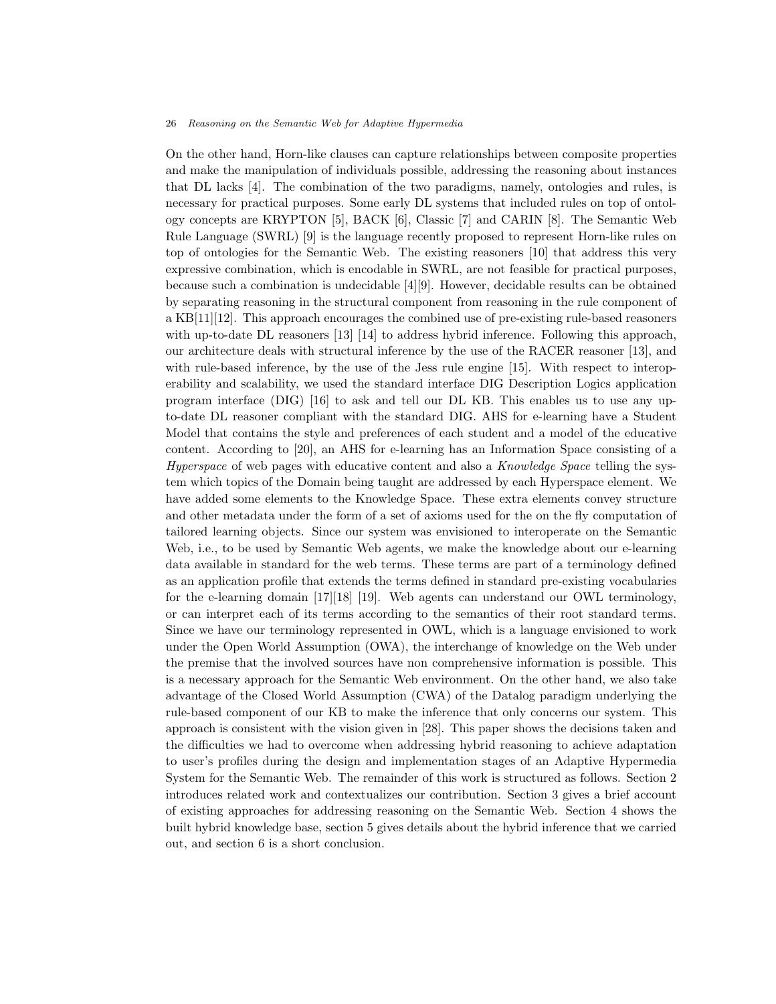#### 26 Reasoning on the Semantic Web for Adaptive Hypermedia

On the other hand, Horn-like clauses can capture relationships between composite properties and make the manipulation of individuals possible, addressing the reasoning about instances that DL lacks [4]. The combination of the two paradigms, namely, ontologies and rules, is necessary for practical purposes. Some early DL systems that included rules on top of ontology concepts are KRYPTON [5], BACK [6], Classic [7] and CARIN [8]. The Semantic Web Rule Language (SWRL) [9] is the language recently proposed to represent Horn-like rules on top of ontologies for the Semantic Web. The existing reasoners [10] that address this very expressive combination, which is encodable in SWRL, are not feasible for practical purposes, because such a combination is undecidable [4][9]. However, decidable results can be obtained by separating reasoning in the structural component from reasoning in the rule component of a KB[11][12]. This approach encourages the combined use of pre-existing rule-based reasoners with up-to-date DL reasoners [13] [14] to address hybrid inference. Following this approach, our architecture deals with structural inference by the use of the RACER reasoner [13], and with rule-based inference, by the use of the Jess rule engine [15]. With respect to interoperability and scalability, we used the standard interface DIG Description Logics application program interface (DIG) [16] to ask and tell our DL KB. This enables us to use any upto-date DL reasoner compliant with the standard DIG. AHS for e-learning have a Student Model that contains the style and preferences of each student and a model of the educative content. According to [20], an AHS for e-learning has an Information Space consisting of a Hyperspace of web pages with educative content and also a Knowledge Space telling the system which topics of the Domain being taught are addressed by each Hyperspace element. We have added some elements to the Knowledge Space. These extra elements convey structure and other metadata under the form of a set of axioms used for the on the fly computation of tailored learning objects. Since our system was envisioned to interoperate on the Semantic Web, i.e., to be used by Semantic Web agents, we make the knowledge about our e-learning data available in standard for the web terms. These terms are part of a terminology defined as an application profile that extends the terms defined in standard pre-existing vocabularies for the e-learning domain [17][18] [19]. Web agents can understand our OWL terminology, or can interpret each of its terms according to the semantics of their root standard terms. Since we have our terminology represented in OWL, which is a language envisioned to work under the Open World Assumption (OWA), the interchange of knowledge on the Web under the premise that the involved sources have non comprehensive information is possible. This is a necessary approach for the Semantic Web environment. On the other hand, we also take advantage of the Closed World Assumption (CWA) of the Datalog paradigm underlying the rule-based component of our KB to make the inference that only concerns our system. This approach is consistent with the vision given in [28]. This paper shows the decisions taken and the difficulties we had to overcome when addressing hybrid reasoning to achieve adaptation to user's profiles during the design and implementation stages of an Adaptive Hypermedia System for the Semantic Web. The remainder of this work is structured as follows. Section 2 introduces related work and contextualizes our contribution. Section 3 gives a brief account of existing approaches for addressing reasoning on the Semantic Web. Section 4 shows the built hybrid knowledge base, section 5 gives details about the hybrid inference that we carried out, and section 6 is a short conclusion.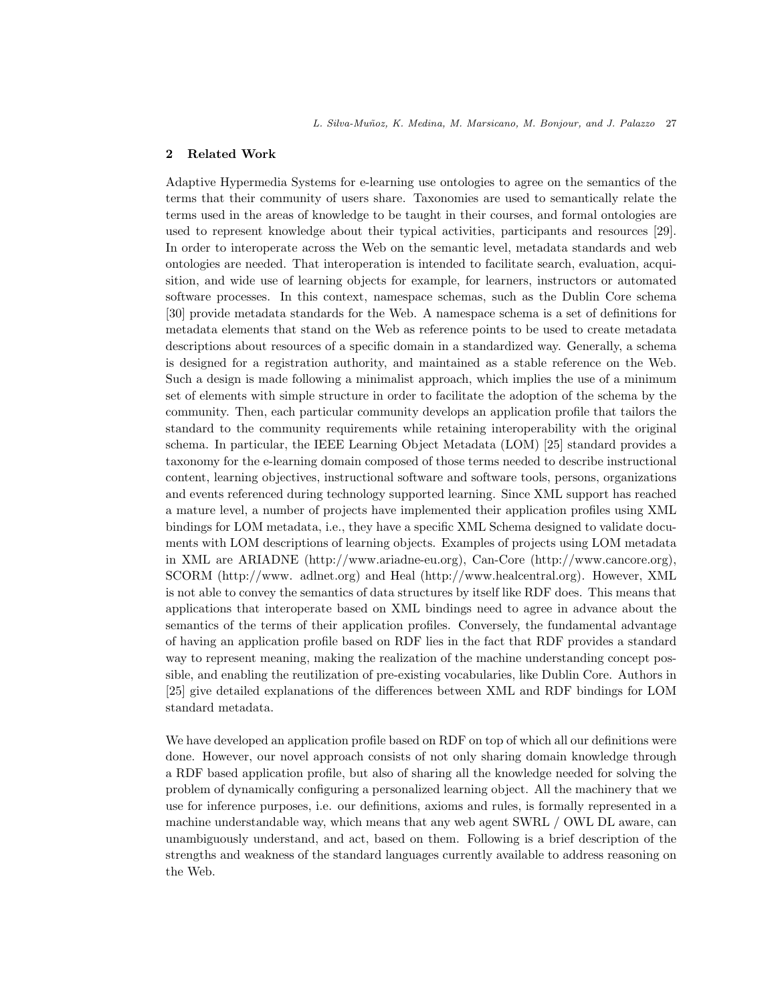## 2 Related Work

Adaptive Hypermedia Systems for e-learning use ontologies to agree on the semantics of the terms that their community of users share. Taxonomies are used to semantically relate the terms used in the areas of knowledge to be taught in their courses, and formal ontologies are used to represent knowledge about their typical activities, participants and resources [29]. In order to interoperate across the Web on the semantic level, metadata standards and web ontologies are needed. That interoperation is intended to facilitate search, evaluation, acquisition, and wide use of learning objects for example, for learners, instructors or automated software processes. In this context, namespace schemas, such as the Dublin Core schema [30] provide metadata standards for the Web. A namespace schema is a set of definitions for metadata elements that stand on the Web as reference points to be used to create metadata descriptions about resources of a specific domain in a standardized way. Generally, a schema is designed for a registration authority, and maintained as a stable reference on the Web. Such a design is made following a minimalist approach, which implies the use of a minimum set of elements with simple structure in order to facilitate the adoption of the schema by the community. Then, each particular community develops an application profile that tailors the standard to the community requirements while retaining interoperability with the original schema. In particular, the IEEE Learning Object Metadata (LOM) [25] standard provides a taxonomy for the e-learning domain composed of those terms needed to describe instructional content, learning objectives, instructional software and software tools, persons, organizations and events referenced during technology supported learning. Since XML support has reached a mature level, a number of projects have implemented their application profiles using XML bindings for LOM metadata, i.e., they have a specific XML Schema designed to validate documents with LOM descriptions of learning objects. Examples of projects using LOM metadata in XML are ARIADNE (http://www.ariadne-eu.org), Can-Core (http://www.cancore.org), SCORM (http://www. adlnet.org) and Heal (http://www.healcentral.org). However, XML is not able to convey the semantics of data structures by itself like RDF does. This means that applications that interoperate based on XML bindings need to agree in advance about the semantics of the terms of their application profiles. Conversely, the fundamental advantage of having an application profile based on RDF lies in the fact that RDF provides a standard way to represent meaning, making the realization of the machine understanding concept possible, and enabling the reutilization of pre-existing vocabularies, like Dublin Core. Authors in [25] give detailed explanations of the differences between XML and RDF bindings for LOM standard metadata.

We have developed an application profile based on RDF on top of which all our definitions were done. However, our novel approach consists of not only sharing domain knowledge through a RDF based application profile, but also of sharing all the knowledge needed for solving the problem of dynamically configuring a personalized learning object. All the machinery that we use for inference purposes, i.e. our definitions, axioms and rules, is formally represented in a machine understandable way, which means that any web agent SWRL / OWL DL aware, can unambiguously understand, and act, based on them. Following is a brief description of the strengths and weakness of the standard languages currently available to address reasoning on the Web.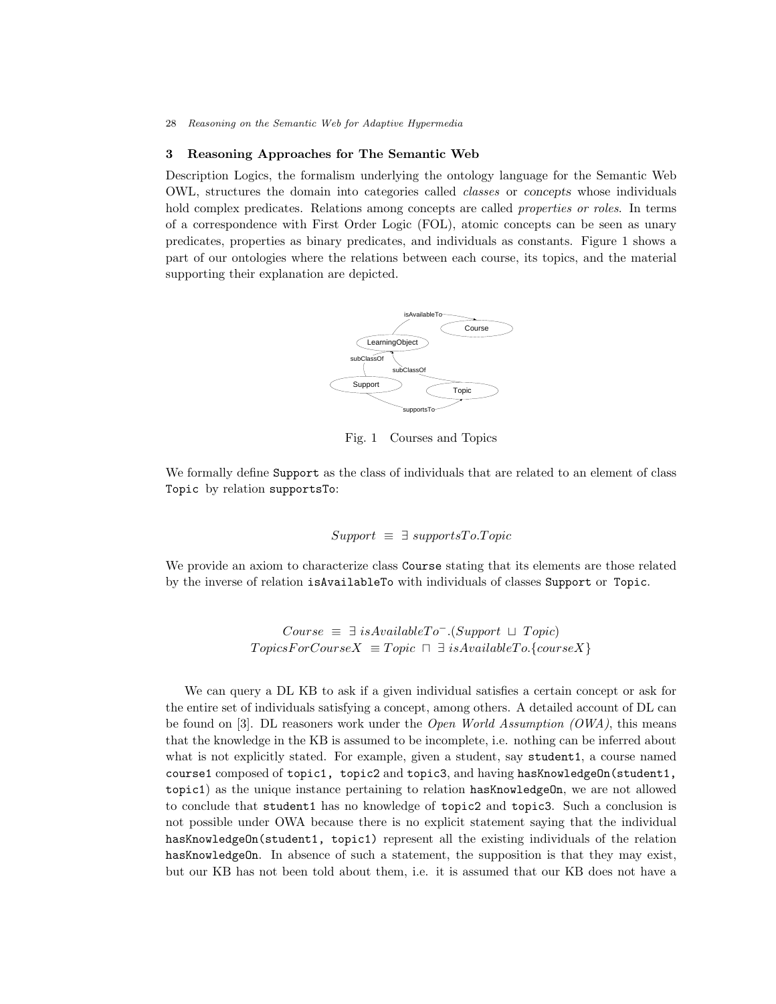### 3 Reasoning Approaches for The Semantic Web

Description Logics, the formalism underlying the ontology language for the Semantic Web OWL, structures the domain into categories called classes or concepts whose individuals hold complex predicates. Relations among concepts are called *properties or roles*. In terms of a correspondence with First Order Logic (FOL), atomic concepts can be seen as unary predicates, properties as binary predicates, and individuals as constants. Figure 1 shows a part of our ontologies where the relations between each course, its topics, and the material supporting their explanation are depicted.



Fig. 1 Courses and Topics

We formally define Support as the class of individuals that are related to an element of class Topic by relation supportsTo:

$$
Support \equiv \exists supportsTo. Topic
$$

We provide an axiom to characterize class Course stating that its elements are those related by the inverse of relation isAvailableTo with individuals of classes Support or Topic.

> $Course \equiv \exists isAvailableTo$ <sup>-</sup>.(Support  $□$  Topic)  $TopicsForCourseX \equiv Topic \sqcap \exists isAvailableTo.\{courseX\}$

We can query a DL KB to ask if a given individual satisfies a certain concept or ask for the entire set of individuals satisfying a concept, among others. A detailed account of DL can be found on [3]. DL reasoners work under the *Open World Assumption (OWA)*, this means that the knowledge in the KB is assumed to be incomplete, i.e. nothing can be inferred about what is not explicitly stated. For example, given a student, say student1, a course named course1 composed of topic1, topic2 and topic3, and having hasKnowledgeOn(student1, topic1) as the unique instance pertaining to relation hasKnowledgeOn, we are not allowed to conclude that student1 has no knowledge of topic2 and topic3. Such a conclusion is not possible under OWA because there is no explicit statement saying that the individual hasKnowledgeOn(student1, topic1) represent all the existing individuals of the relation hasKnowledgeOn. In absence of such a statement, the supposition is that they may exist, but our KB has not been told about them, i.e. it is assumed that our KB does not have a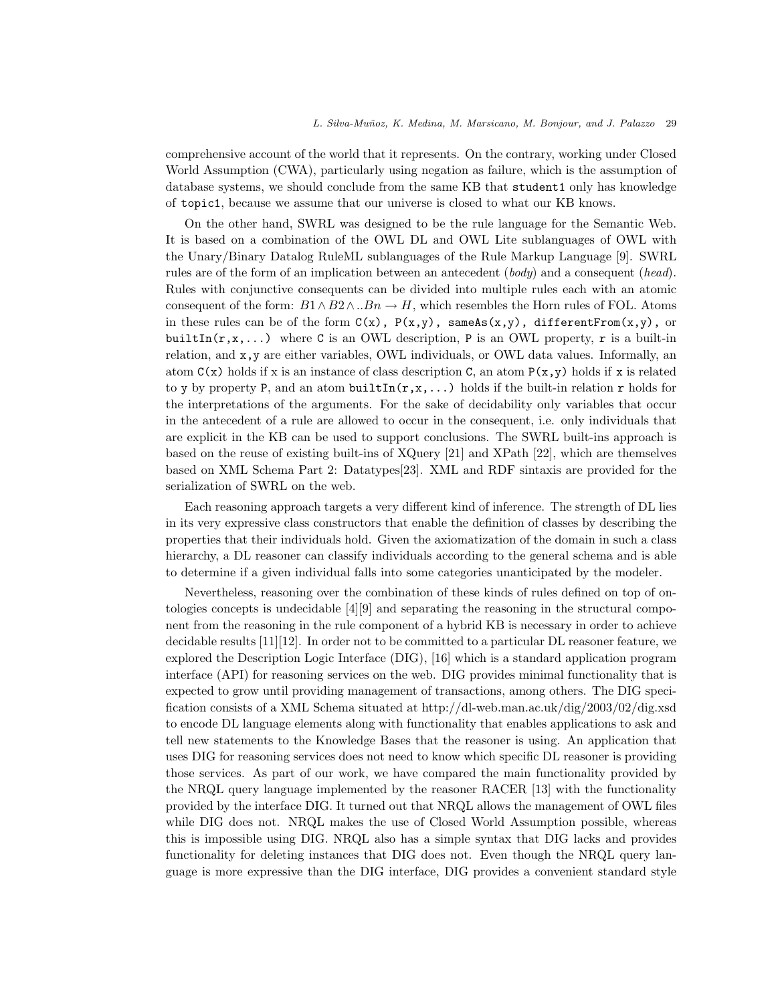comprehensive account of the world that it represents. On the contrary, working under Closed World Assumption (CWA), particularly using negation as failure, which is the assumption of database systems, we should conclude from the same KB that student1 only has knowledge of topic1, because we assume that our universe is closed to what our KB knows.

On the other hand, SWRL was designed to be the rule language for the Semantic Web. It is based on a combination of the OWL DL and OWL Lite sublanguages of OWL with the Unary/Binary Datalog RuleML sublanguages of the Rule Markup Language [9]. SWRL rules are of the form of an implication between an antecedent (body) and a consequent (head). Rules with conjunctive consequents can be divided into multiple rules each with an atomic consequent of the form:  $B1 \wedge B2 \wedge B2n \rightarrow H$ , which resembles the Horn rules of FOL. Atoms in these rules can be of the form  $C(x)$ ,  $P(x,y)$ , sameAs $(x,y)$ , differentFrom(x,y), or builtIn( $r, x, \ldots$ ) where C is an OWL description, P is an OWL property, r is a built-in relation, and x,y are either variables, OWL individuals, or OWL data values. Informally, an atom  $C(x)$  holds if x is an instance of class description C, an atom  $P(x,y)$  holds if x is related to y by property P, and an atom built $\text{In}(r,x,\ldots)$  holds if the built-in relation r holds for the interpretations of the arguments. For the sake of decidability only variables that occur in the antecedent of a rule are allowed to occur in the consequent, i.e. only individuals that are explicit in the KB can be used to support conclusions. The SWRL built-ins approach is based on the reuse of existing built-ins of XQuery [21] and XPath [22], which are themselves based on XML Schema Part 2: Datatypes[23]. XML and RDF sintaxis are provided for the serialization of SWRL on the web.

Each reasoning approach targets a very different kind of inference. The strength of DL lies in its very expressive class constructors that enable the definition of classes by describing the properties that their individuals hold. Given the axiomatization of the domain in such a class hierarchy, a DL reasoner can classify individuals according to the general schema and is able to determine if a given individual falls into some categories unanticipated by the modeler.

Nevertheless, reasoning over the combination of these kinds of rules defined on top of ontologies concepts is undecidable [4][9] and separating the reasoning in the structural component from the reasoning in the rule component of a hybrid KB is necessary in order to achieve decidable results [11][12]. In order not to be committed to a particular DL reasoner feature, we explored the Description Logic Interface (DIG), [16] which is a standard application program interface (API) for reasoning services on the web. DIG provides minimal functionality that is expected to grow until providing management of transactions, among others. The DIG specification consists of a XML Schema situated at http://dl-web.man.ac.uk/dig/2003/02/dig.xsd to encode DL language elements along with functionality that enables applications to ask and tell new statements to the Knowledge Bases that the reasoner is using. An application that uses DIG for reasoning services does not need to know which specific DL reasoner is providing those services. As part of our work, we have compared the main functionality provided by the NRQL query language implemented by the reasoner RACER [13] with the functionality provided by the interface DIG. It turned out that NRQL allows the management of OWL files while DIG does not. NRQL makes the use of Closed World Assumption possible, whereas this is impossible using DIG. NRQL also has a simple syntax that DIG lacks and provides functionality for deleting instances that DIG does not. Even though the NRQL query language is more expressive than the DIG interface, DIG provides a convenient standard style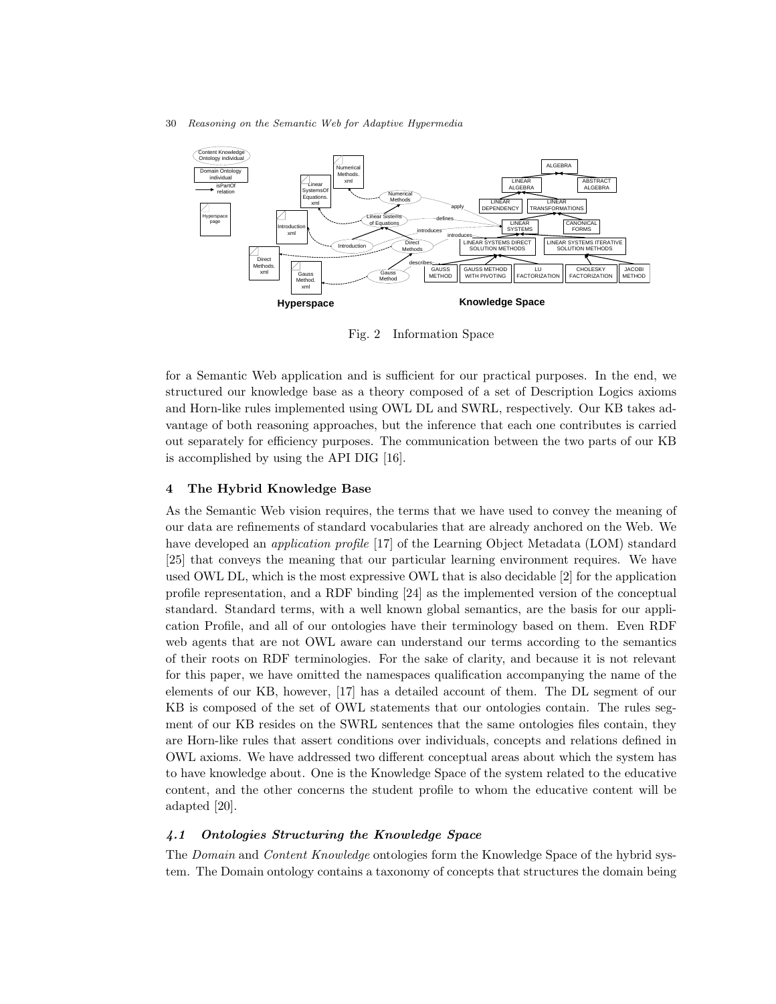30 Reasoning on the Semantic Web for Adaptive Hypermedia



Fig. 2 Information Space

for a Semantic Web application and is sufficient for our practical purposes. In the end, we structured our knowledge base as a theory composed of a set of Description Logics axioms and Horn-like rules implemented using OWL DL and SWRL, respectively. Our KB takes advantage of both reasoning approaches, but the inference that each one contributes is carried out separately for efficiency purposes. The communication between the two parts of our KB is accomplished by using the API DIG [16].

### 4 The Hybrid Knowledge Base

As the Semantic Web vision requires, the terms that we have used to convey the meaning of our data are refinements of standard vocabularies that are already anchored on the Web. We have developed an *application profile* [17] of the Learning Object Metadata (LOM) standard [25] that conveys the meaning that our particular learning environment requires. We have used OWL DL, which is the most expressive OWL that is also decidable [2] for the application profile representation, and a RDF binding [24] as the implemented version of the conceptual standard. Standard terms, with a well known global semantics, are the basis for our application Profile, and all of our ontologies have their terminology based on them. Even RDF web agents that are not OWL aware can understand our terms according to the semantics of their roots on RDF terminologies. For the sake of clarity, and because it is not relevant for this paper, we have omitted the namespaces qualification accompanying the name of the elements of our KB, however, [17] has a detailed account of them. The DL segment of our KB is composed of the set of OWL statements that our ontologies contain. The rules segment of our KB resides on the SWRL sentences that the same ontologies files contain, they are Horn-like rules that assert conditions over individuals, concepts and relations defined in OWL axioms. We have addressed two different conceptual areas about which the system has to have knowledge about. One is the Knowledge Space of the system related to the educative content, and the other concerns the student profile to whom the educative content will be adapted [20].

# 4.1 Ontologies Structuring the Knowledge Space

The Domain and Content Knowledge ontologies form the Knowledge Space of the hybrid system. The Domain ontology contains a taxonomy of concepts that structures the domain being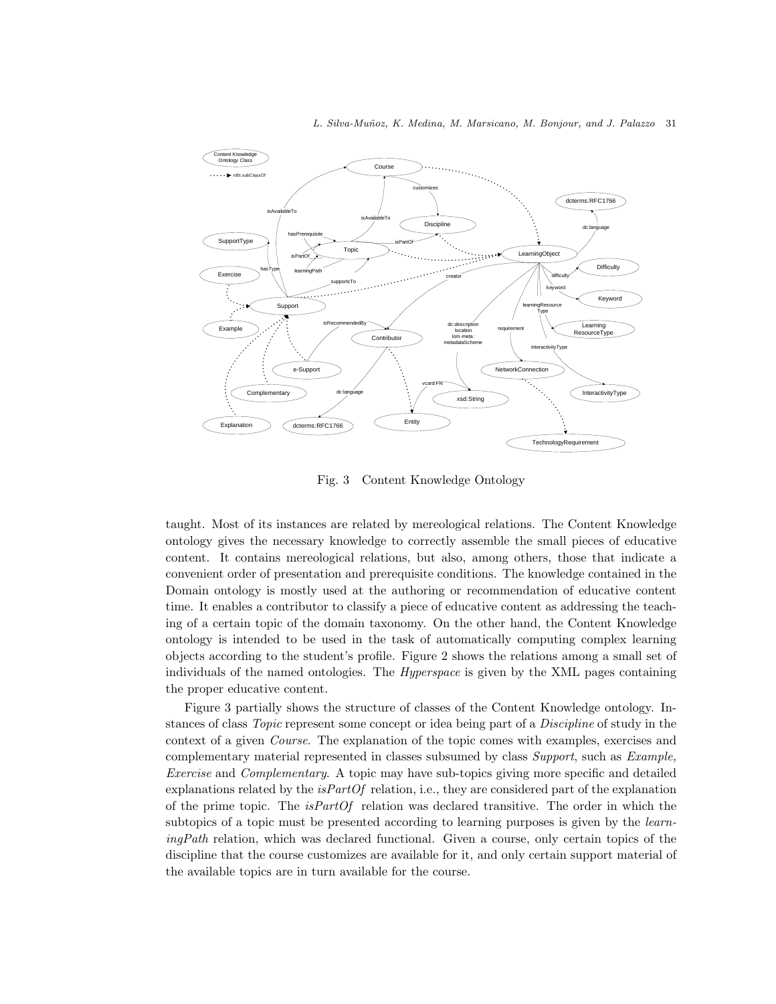

Fig. 3 Content Knowledge Ontology

taught. Most of its instances are related by mereological relations. The Content Knowledge ontology gives the necessary knowledge to correctly assemble the small pieces of educative content. It contains mereological relations, but also, among others, those that indicate a convenient order of presentation and prerequisite conditions. The knowledge contained in the Domain ontology is mostly used at the authoring or recommendation of educative content time. It enables a contributor to classify a piece of educative content as addressing the teaching of a certain topic of the domain taxonomy. On the other hand, the Content Knowledge ontology is intended to be used in the task of automatically computing complex learning objects according to the student's profile. Figure 2 shows the relations among a small set of individuals of the named ontologies. The Hyperspace is given by the XML pages containing the proper educative content.

Figure 3 partially shows the structure of classes of the Content Knowledge ontology. Instances of class *Topic* represent some concept or idea being part of a *Discipline* of study in the context of a given Course. The explanation of the topic comes with examples, exercises and complementary material represented in classes subsumed by class Support, such as Example, Exercise and Complementary. A topic may have sub-topics giving more specific and detailed explanations related by the  $isPartOf$  relation, i.e., they are considered part of the explanation of the prime topic. The  $isPartOf$  relation was declared transitive. The order in which the subtopics of a topic must be presented according to learning purposes is given by the *learn*ingPath relation, which was declared functional. Given a course, only certain topics of the discipline that the course customizes are available for it, and only certain support material of the available topics are in turn available for the course.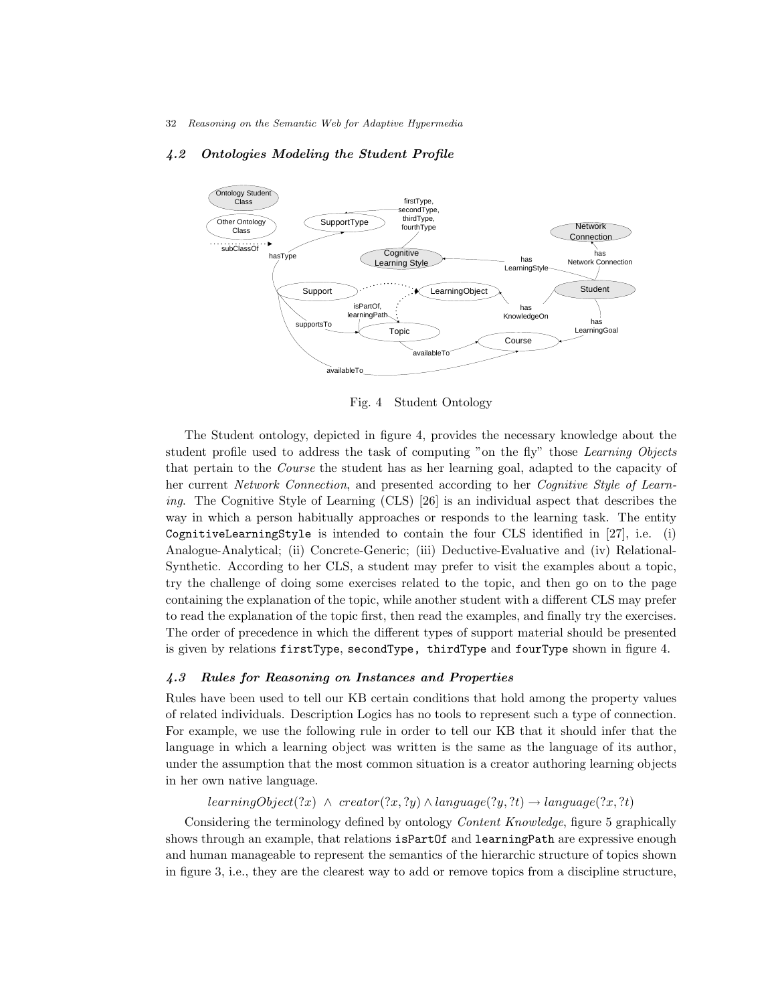32 Reasoning on the Semantic Web for Adaptive Hypermedia

## 4.2 Ontologies Modeling the Student Profile



Fig. 4 Student Ontology

The Student ontology, depicted in figure 4, provides the necessary knowledge about the student profile used to address the task of computing "on the fly" those Learning Objects that pertain to the Course the student has as her learning goal, adapted to the capacity of her current *Network Connection*, and presented according to her *Cognitive Style of Learn*ing. The Cognitive Style of Learning (CLS) [26] is an individual aspect that describes the way in which a person habitually approaches or responds to the learning task. The entity CognitiveLearningStyle is intended to contain the four CLS identified in  $[27]$ , i.e. (i) Analogue-Analytical; (ii) Concrete-Generic; (iii) Deductive-Evaluative and (iv) Relational-Synthetic. According to her CLS, a student may prefer to visit the examples about a topic, try the challenge of doing some exercises related to the topic, and then go on to the page containing the explanation of the topic, while another student with a different CLS may prefer to read the explanation of the topic first, then read the examples, and finally try the exercises. The order of precedence in which the different types of support material should be presented is given by relations firstType, secondType, thirdType and fourType shown in figure 4.

#### 4.3 Rules for Reasoning on Instances and Properties

Rules have been used to tell our KB certain conditions that hold among the property values of related individuals. Description Logics has no tools to represent such a type of connection. For example, we use the following rule in order to tell our KB that it should infer that the language in which a learning object was written is the same as the language of its author, under the assumption that the most common situation is a creator authoring learning objects in her own native language.

learningObject(?x)  $\land$  creator(?x,?y)  $\land$  language(?y,?t)  $\rightarrow$  language(?x,?t)

Considering the terminology defined by ontology Content Knowledge, figure 5 graphically shows through an example, that relations  $i$ **sPartOf** and learningPath are expressive enough and human manageable to represent the semantics of the hierarchic structure of topics shown in figure 3, i.e., they are the clearest way to add or remove topics from a discipline structure,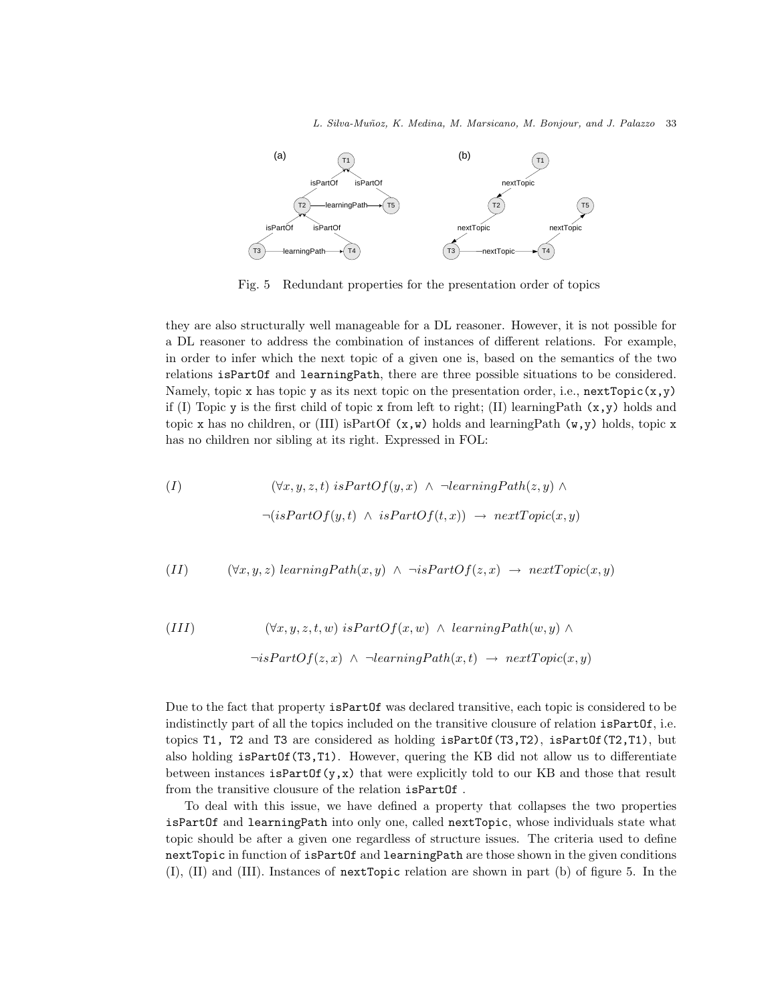

Fig. 5 Redundant properties for the presentation order of topics

they are also structurally well manageable for a DL reasoner. However, it is not possible for a DL reasoner to address the combination of instances of different relations. For example, in order to infer which the next topic of a given one is, based on the semantics of the two relations isPartOf and learningPath, there are three possible situations to be considered. Namely, topic x has topic y as its next topic on the presentation order, i.e.,  $nextTopic(x, y)$ if (I) Topic y is the first child of topic x from left to right; (II) learning Path  $(x, y)$  holds and topic x has no children, or (III) is PartOf  $(x, w)$  holds and learning Path  $(w, y)$  holds, topic x has no children nor sibling at its right. Expressed in FOL:

(1) 
$$
(\forall x, y, z, t) \text{ is} PartOf(y, x) \land \neg learningPath(z, y) \land
$$

$$
\neg (isPartOf(y, t) \land \text{ is} PartOf(t, x)) \rightarrow \text{nextTopic}(x, y)
$$

(II) 
$$
(\forall x, y, z)
$$
 learningPath $(x, y) \land \neg isPartOf(z, x) \rightarrow nextTopic(x, y)$ 

(III) 
$$
(\forall x, y, z, t, w) \ is PartOf(x, w) \land learningPath(w, y) \land
$$

$$
\neg is PartOf(z, x) \land \neg learningPath(x, t) \rightarrow nextTopic(x, y)
$$

Due to the fact that property isPartOf was declared transitive, each topic is considered to be indistinctly part of all the topics included on the transitive clousure of relation isPartOf, i.e. topics T1, T2 and T3 are considered as holding isPartOf(T3,T2), isPartOf(T2,T1), but also holding  $isPartOf(T3,T1)$ . However, quering the KB did not allow us to differentiate between instances is PartOf(y,x) that were explicitly told to our KB and those that result from the transitive clousure of the relation isPartOf .

To deal with this issue, we have defined a property that collapses the two properties isPartOf and learningPath into only one, called nextTopic, whose individuals state what topic should be after a given one regardless of structure issues. The criteria used to define nextTopic in function of isPartOf and learningPath are those shown in the given conditions (I), (II) and (III). Instances of nextTopic relation are shown in part (b) of figure 5. In the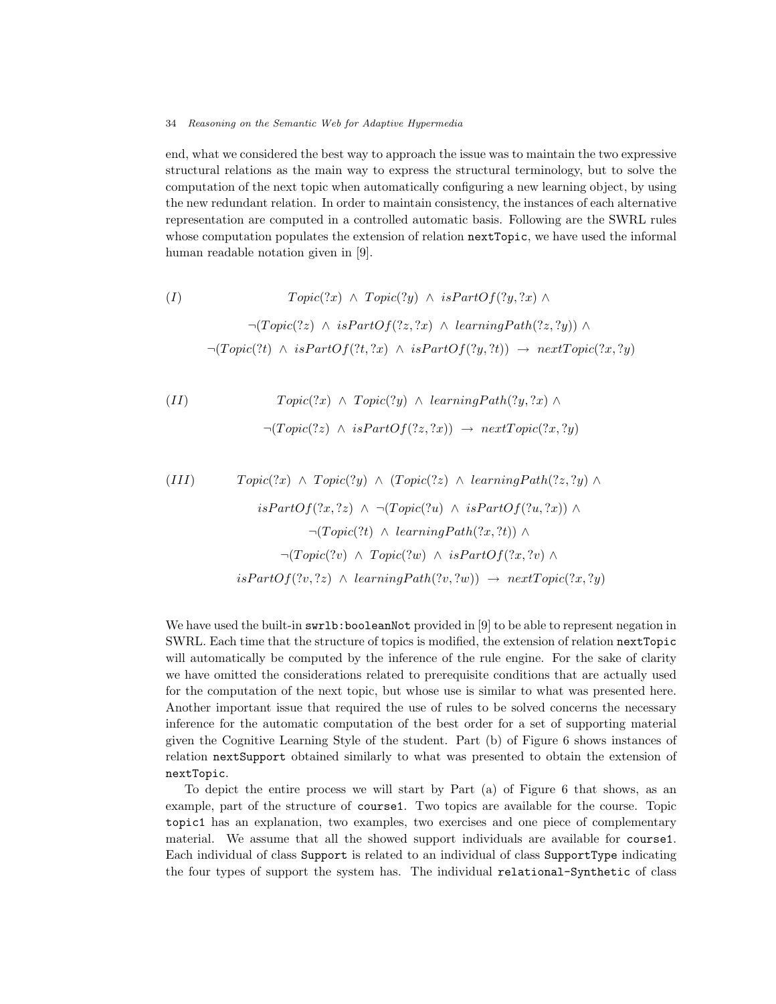#### 34 Reasoning on the Semantic Web for Adaptive Hypermedia

end, what we considered the best way to approach the issue was to maintain the two expressive structural relations as the main way to express the structural terminology, but to solve the computation of the next topic when automatically configuring a new learning object, by using the new redundant relation. In order to maintain consistency, the instances of each alternative representation are computed in a controlled automatic basis. Following are the SWRL rules whose computation populates the extension of relation nextTopic, we have used the informal human readable notation given in [9].

$$
(I) \qquad Topic(?x) \wedge Topic(?y) \wedge isPartOf(?y, ?x) \wedge
$$

$$
\neg (Topic(?z) \wedge isPartOf(?z, ?x) \wedge learningPath(?z, ?y)) \wedge
$$

$$
\neg (Topic(?t) \wedge isPartOf(?t, ?x) \wedge isPartOf(?y, ?t)) \rightarrow nextTopic(?x, ?y)
$$

(II) 
$$
Topic(?x) \wedge Topic(?y) \wedge learningPath(?y, ?x) \wedge
$$
  
\n $\neg(Topic(?z) \wedge isPartOf(?z, ?x)) \rightarrow nextTopic(?x, ?y)$ 

(III) 
$$
Topic(?x) \wedge Topic(?y) \wedge (Topic(?z) \wedge learningPath(?z, ?y) \wedge
$$
  
\n $isPartOf(?x, ?z) \wedge \neg (Topic(?u) \wedge isPartOf(?u, ?x)) \wedge$   
\n $\neg (Topic(?t) \wedge learningPath(?x, ?t)) \wedge$   
\n $\neg (Topic(?v) \wedge Topic(?w) \wedge isPartOf(?x, ?v) \wedge$   
\n $isPartOf(?v, ?z) \wedge learningPath(?v, ?w)) \rightarrow nextTopic(?x, ?y)$ 

We have used the built-in swrlb: booleanNot provided in [9] to be able to represent negation in SWRL. Each time that the structure of topics is modified, the extension of relation nextTopic will automatically be computed by the inference of the rule engine. For the sake of clarity we have omitted the considerations related to prerequisite conditions that are actually used for the computation of the next topic, but whose use is similar to what was presented here. Another important issue that required the use of rules to be solved concerns the necessary inference for the automatic computation of the best order for a set of supporting material given the Cognitive Learning Style of the student. Part (b) of Figure 6 shows instances of relation nextSupport obtained similarly to what was presented to obtain the extension of nextTopic.

To depict the entire process we will start by Part (a) of Figure 6 that shows, as an example, part of the structure of course1. Two topics are available for the course. Topic topic1 has an explanation, two examples, two exercises and one piece of complementary material. We assume that all the showed support individuals are available for course1. Each individual of class Support is related to an individual of class SupportType indicating the four types of support the system has. The individual relational-Synthetic of class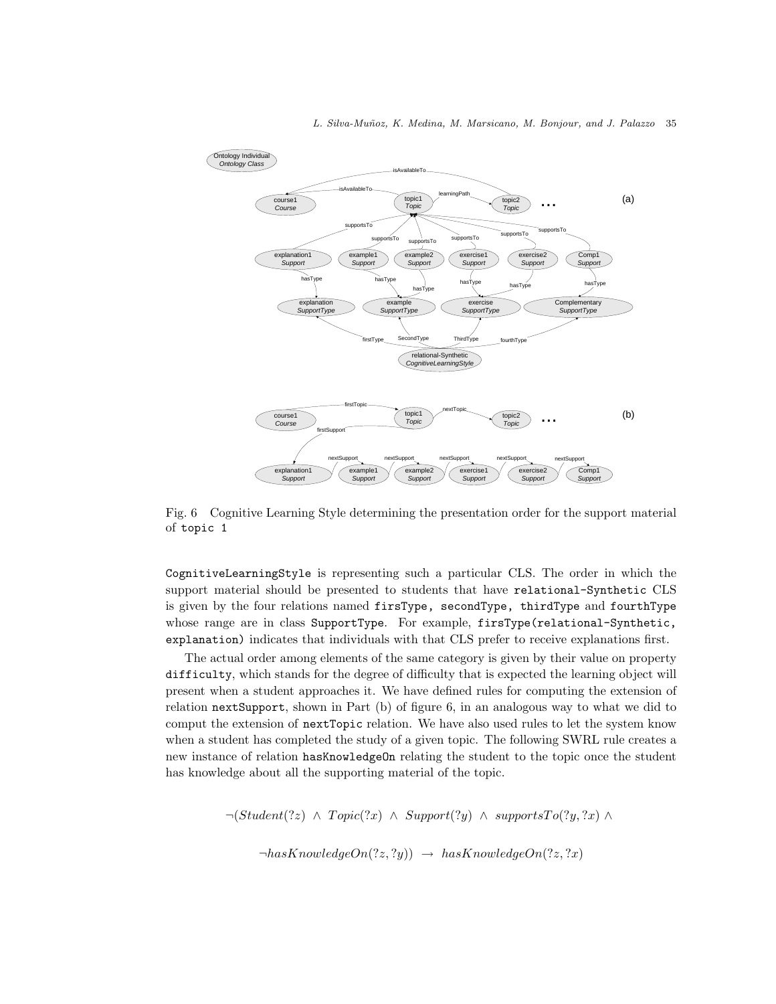

Fig. 6 Cognitive Learning Style determining the presentation order for the support material of topic 1

CognitiveLearningStyle is representing such a particular CLS. The order in which the support material should be presented to students that have relational-Synthetic CLS is given by the four relations named firsType, secondType, thirdType and fourthType whose range are in class SupportType. For example, firsType(relational-Synthetic, explanation) indicates that individuals with that CLS prefer to receive explanations first.

The actual order among elements of the same category is given by their value on property difficulty, which stands for the degree of difficulty that is expected the learning object will present when a student approaches it. We have defined rules for computing the extension of relation nextSupport, shown in Part (b) of figure 6, in an analogous way to what we did to comput the extension of nextTopic relation. We have also used rules to let the system know when a student has completed the study of a given topic. The following SWRL rule creates a new instance of relation hasKnowledgeOn relating the student to the topic once the student has knowledge about all the supporting material of the topic.

> $\neg(Student(?z) \land Topic(?x) \land Support(?y) \land supportsTo(?y, ?x) \land$  $\neg hasKnowledgeOn(?z, ?y)) \rightarrow hasKnowledgeOn(?z, ?x)$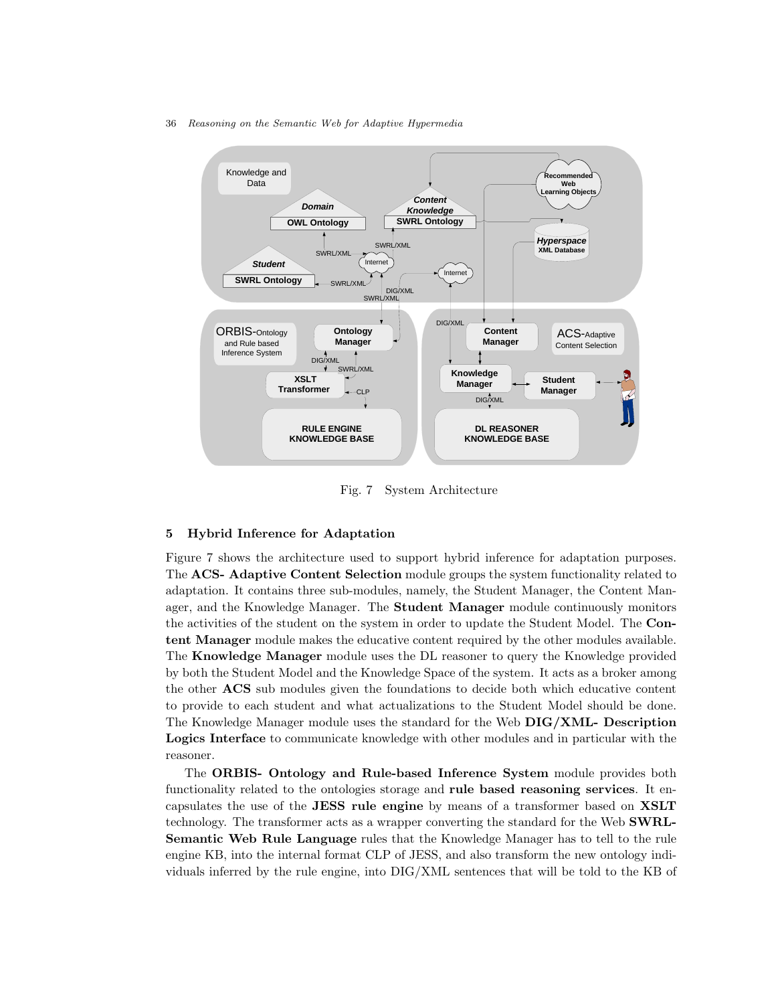#### 36 Reasoning on the Semantic Web for Adaptive Hypermedia



Fig. 7 System Architecture

#### 5 Hybrid Inference for Adaptation

Figure 7 shows the architecture used to support hybrid inference for adaptation purposes. The ACS- Adaptive Content Selection module groups the system functionality related to adaptation. It contains three sub-modules, namely, the Student Manager, the Content Manager, and the Knowledge Manager. The Student Manager module continuously monitors the activities of the student on the system in order to update the Student Model. The Content Manager module makes the educative content required by the other modules available. The Knowledge Manager module uses the DL reasoner to query the Knowledge provided by both the Student Model and the Knowledge Space of the system. It acts as a broker among the other ACS sub modules given the foundations to decide both which educative content to provide to each student and what actualizations to the Student Model should be done. The Knowledge Manager module uses the standard for the Web DIG/XML- Description Logics Interface to communicate knowledge with other modules and in particular with the reasoner.

The ORBIS- Ontology and Rule-based Inference System module provides both functionality related to the ontologies storage and **rule based reasoning services**. It encapsulates the use of the JESS rule engine by means of a transformer based on XSLT technology. The transformer acts as a wrapper converting the standard for the Web SWRL-Semantic Web Rule Language rules that the Knowledge Manager has to tell to the rule engine KB, into the internal format CLP of JESS, and also transform the new ontology individuals inferred by the rule engine, into DIG/XML sentences that will be told to the KB of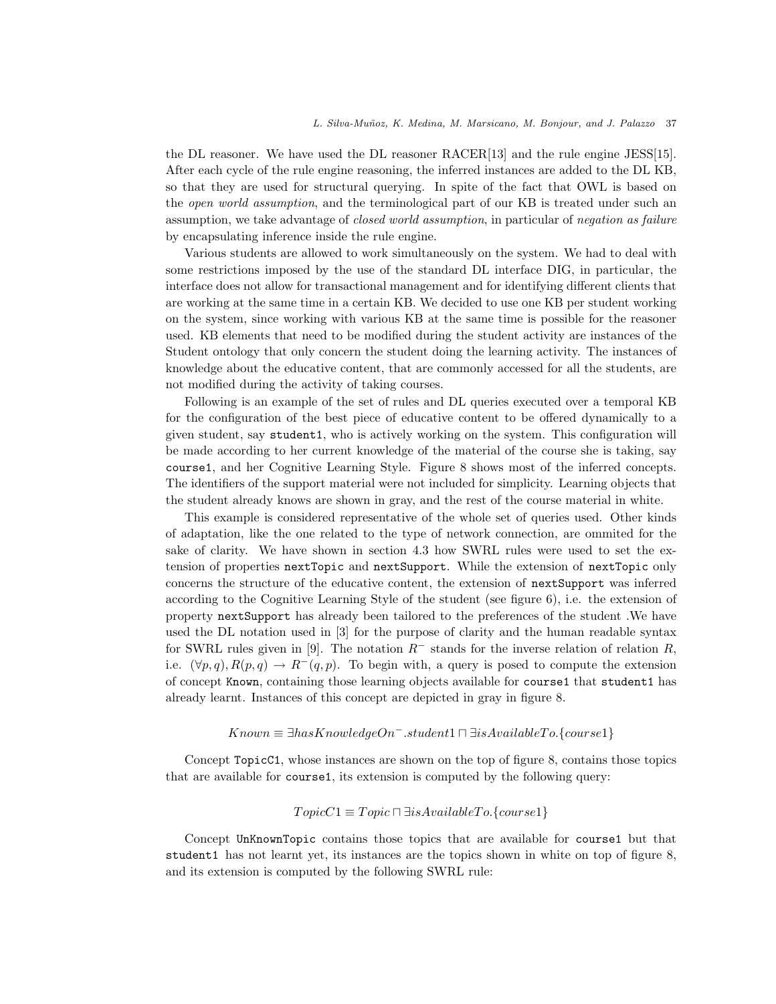the DL reasoner. We have used the DL reasoner RACER[13] and the rule engine JESS[15]. After each cycle of the rule engine reasoning, the inferred instances are added to the DL KB, so that they are used for structural querying. In spite of the fact that OWL is based on the open world assumption, and the terminological part of our KB is treated under such an assumption, we take advantage of *closed world assumption*, in particular of *negation as failure* by encapsulating inference inside the rule engine.

Various students are allowed to work simultaneously on the system. We had to deal with some restrictions imposed by the use of the standard DL interface DIG, in particular, the interface does not allow for transactional management and for identifying different clients that are working at the same time in a certain KB. We decided to use one KB per student working on the system, since working with various KB at the same time is possible for the reasoner used. KB elements that need to be modified during the student activity are instances of the Student ontology that only concern the student doing the learning activity. The instances of knowledge about the educative content, that are commonly accessed for all the students, are not modified during the activity of taking courses.

Following is an example of the set of rules and DL queries executed over a temporal KB for the configuration of the best piece of educative content to be offered dynamically to a given student, say student1, who is actively working on the system. This configuration will be made according to her current knowledge of the material of the course she is taking, say course1, and her Cognitive Learning Style. Figure 8 shows most of the inferred concepts. The identifiers of the support material were not included for simplicity. Learning objects that the student already knows are shown in gray, and the rest of the course material in white.

This example is considered representative of the whole set of queries used. Other kinds of adaptation, like the one related to the type of network connection, are ommited for the sake of clarity. We have shown in section 4.3 how SWRL rules were used to set the extension of properties nextTopic and nextSupport. While the extension of nextTopic only concerns the structure of the educative content, the extension of nextSupport was inferred according to the Cognitive Learning Style of the student (see figure 6), i.e. the extension of property nextSupport has already been tailored to the preferences of the student .We have used the DL notation used in [3] for the purpose of clarity and the human readable syntax for SWRL rules given in [9]. The notation  $R^-$  stands for the inverse relation of relation R, i.e.  $(\forall p, q), R(p, q) \rightarrow R^-(q, p)$ . To begin with, a query is posed to compute the extension of concept Known, containing those learning objects available for course1 that student1 has already learnt. Instances of this concept are depicted in gray in figure 8.

### $Known \equiv \exists hasKnowledgeOn^{-}.student1 \sqcap \exists isAvailableTo.\{course1\}$

Concept TopicC1, whose instances are shown on the top of figure 8, contains those topics that are available for course1, its extension is computed by the following query:

### $TopicC1 \equiv Topic \sqcap \exists isAvailableTo.\{course1\}$

Concept UnKnownTopic contains those topics that are available for course1 but that student1 has not learnt yet, its instances are the topics shown in white on top of figure 8, and its extension is computed by the following SWRL rule: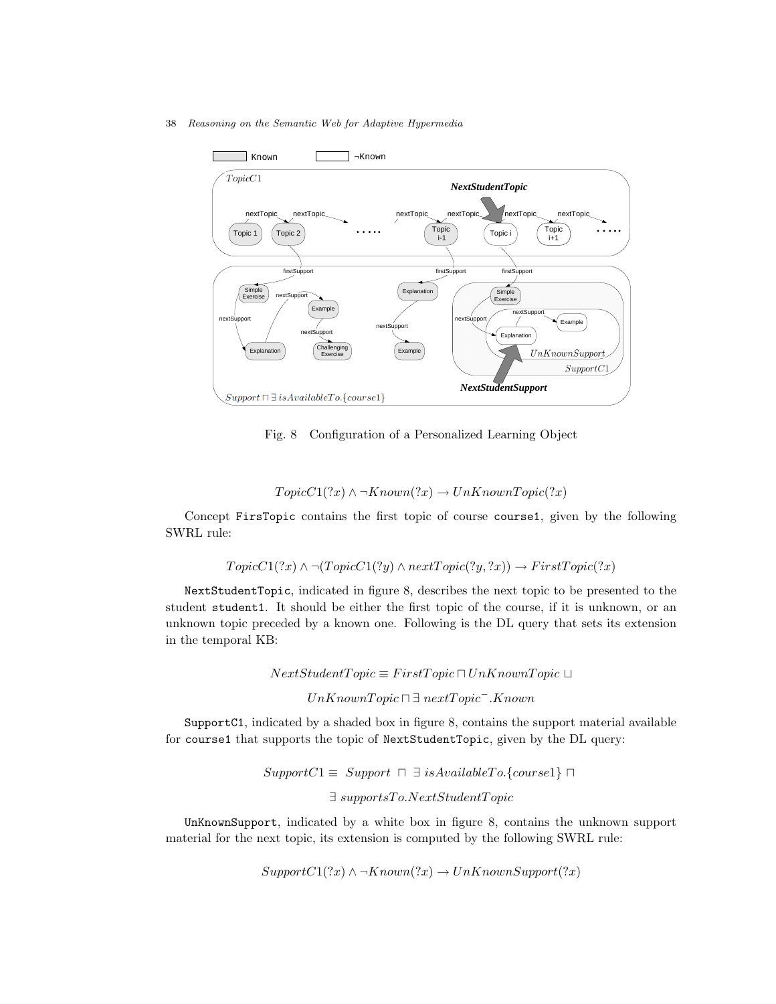38 Reasoning on the Semantic Web for Adaptive Hypermedia



Fig. 8 Configuration of a Personalized Learning Object

$$
TopicC1(?x) \land \neg Known(?x) \rightarrow UnKnownTopic(?x)
$$

Concept FirsTopic contains the first topic of course course1, given by the following SWRL rule:

$$
TopicC1(?x) \land \neg (TopicC1(?y) \land nextTopic(?y, ?x)) \rightarrow FirstTopic(?x)
$$

NextStudentTopic, indicated in figure 8, describes the next topic to be presented to the student student1. It should be either the first topic of the course, if it is unknown, or an unknown topic preceded by a known one. Following is the DL query that sets its extension in the temporal KB:

 $NextStudentTopic \equiv FirstTopic \sqcap UnKnow \sqcap Topic \sqcup$ 

 $UnKnownTopic ⊓ ∃ nextTopic$ . Known

SupportC1, indicated by a shaded box in figure 8, contains the support material available for course1 that supports the topic of NextStudentTopic, given by the DL query:

> $SupportC1 \equiv Support \sqcap \exists isAvailableTo.\{course1\} \sqcap$  $\exists$  supportsTo.NextStudentTopic

UnKnownSupport, indicated by a white box in figure 8, contains the unknown support material for the next topic, its extension is computed by the following SWRL rule:

 $SupportC1(?x) \wedge \neg Known(?x) \rightarrow UnKnownSupport(?x)$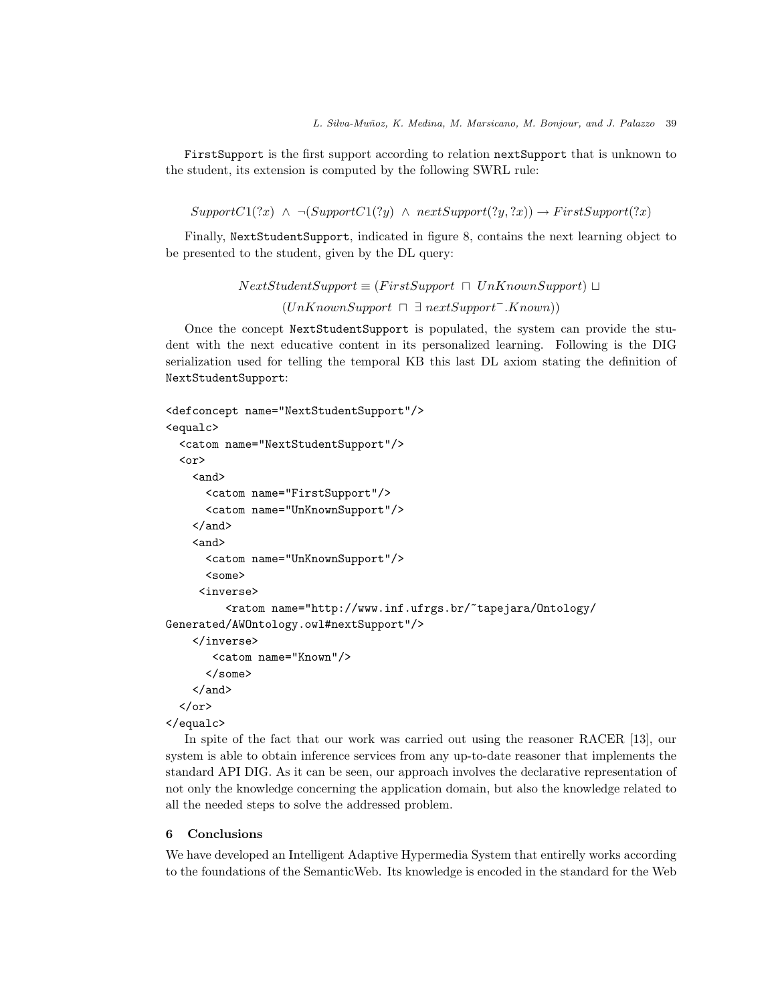FirstSupport is the first support according to relation nextSupport that is unknown to the student, its extension is computed by the following SWRL rule:

 $SupportC1(?x) \wedge \neg (SupportC1(?y) \wedge nextSupport(?y, ?x)) \rightarrow FirstSupport(?x)$ 

Finally, NextStudentSupport, indicated in figure 8, contains the next learning object to be presented to the student, given by the DL query:

> $NextStudentSupport \equiv (FirstSupport \cap UnKnowSupport) \sqcup$  $(UnKnownSupport \sqcap \exists nextSupport^{-}.Known))$

Once the concept NextStudentSupport is populated, the system can provide the student with the next educative content in its personalized learning. Following is the DIG serialization used for telling the temporal KB this last DL axiom stating the definition of NextStudentSupport:

```
<defconcept name="NextStudentSupport"/>
<equalc>
  <catom name="NextStudentSupport"/>
  \langle<and>
      <catom name="FirstSupport"/>
      <catom name="UnKnownSupport"/>
    </and>
    \langleand\rangle<catom name="UnKnownSupport"/>
      <some>
     <inverse>
         <ratom name="http://www.inf.ufrgs.br/~tapejara/Ontology/
Generated/AWOntology.owl#nextSupport"/>
    </inverse>
       <catom name="Known"/>
      </some>
    </and>
  </or>
</equalc>
```
In spite of the fact that our work was carried out using the reasoner RACER [13], our system is able to obtain inference services from any up-to-date reasoner that implements the standard API DIG. As it can be seen, our approach involves the declarative representation of not only the knowledge concerning the application domain, but also the knowledge related to all the needed steps to solve the addressed problem.

### 6 Conclusions

We have developed an Intelligent Adaptive Hypermedia System that entirelly works according to the foundations of the SemanticWeb. Its knowledge is encoded in the standard for the Web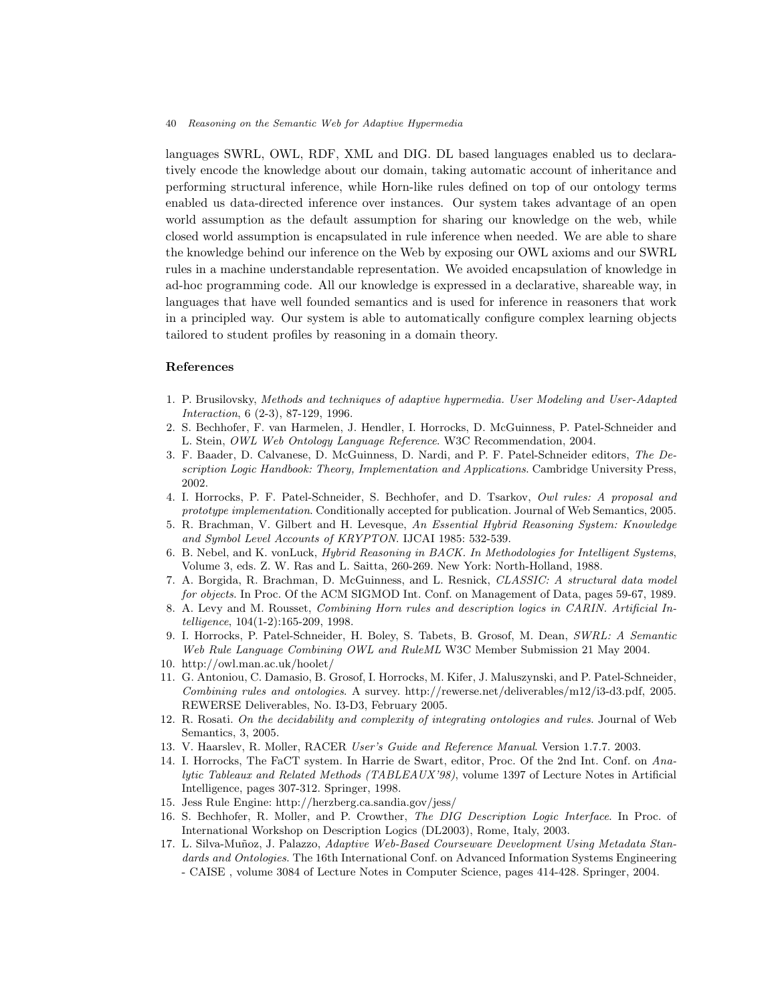languages SWRL, OWL, RDF, XML and DIG. DL based languages enabled us to declaratively encode the knowledge about our domain, taking automatic account of inheritance and performing structural inference, while Horn-like rules defined on top of our ontology terms enabled us data-directed inference over instances. Our system takes advantage of an open world assumption as the default assumption for sharing our knowledge on the web, while closed world assumption is encapsulated in rule inference when needed. We are able to share the knowledge behind our inference on the Web by exposing our OWL axioms and our SWRL rules in a machine understandable representation. We avoided encapsulation of knowledge in ad-hoc programming code. All our knowledge is expressed in a declarative, shareable way, in languages that have well founded semantics and is used for inference in reasoners that work in a principled way. Our system is able to automatically configure complex learning objects tailored to student profiles by reasoning in a domain theory.

### References

- 1. P. Brusilovsky, Methods and techniques of adaptive hypermedia. User Modeling and User-Adapted Interaction, 6 (2-3), 87-129, 1996.
- 2. S. Bechhofer, F. van Harmelen, J. Hendler, I. Horrocks, D. McGuinness, P. Patel-Schneider and L. Stein, OWL Web Ontology Language Reference. W3C Recommendation, 2004.
- 3. F. Baader, D. Calvanese, D. McGuinness, D. Nardi, and P. F. Patel-Schneider editors, The Description Logic Handbook: Theory, Implementation and Applications. Cambridge University Press, 2002.
- 4. I. Horrocks, P. F. Patel-Schneider, S. Bechhofer, and D. Tsarkov, Owl rules: A proposal and prototype implementation. Conditionally accepted for publication. Journal of Web Semantics, 2005.
- 5. R. Brachman, V. Gilbert and H. Levesque, An Essential Hybrid Reasoning System: Knowledge and Symbol Level Accounts of KRYPTON. IJCAI 1985: 532-539.
- 6. B. Nebel, and K. vonLuck, Hybrid Reasoning in BACK. In Methodologies for Intelligent Systems, Volume 3, eds. Z. W. Ras and L. Saitta, 260-269. New York: North-Holland, 1988.
- 7. A. Borgida, R. Brachman, D. McGuinness, and L. Resnick, CLASSIC: A structural data model for objects. In Proc. Of the ACM SIGMOD Int. Conf. on Management of Data, pages 59-67, 1989.
- 8. A. Levy and M. Rousset, Combining Horn rules and description logics in CARIN. Artificial Intelligence, 104(1-2):165-209, 1998.
- 9. I. Horrocks, P. Patel-Schneider, H. Boley, S. Tabets, B. Grosof, M. Dean, SWRL: A Semantic Web Rule Language Combining OWL and RuleML W3C Member Submission 21 May 2004.
- 10. http://owl.man.ac.uk/hoolet/
- 11. G. Antoniou, C. Damasio, B. Grosof, I. Horrocks, M. Kifer, J. Maluszynski, and P. Patel-Schneider, Combining rules and ontologies. A survey. http://rewerse.net/deliverables/m12/i3-d3.pdf, 2005. REWERSE Deliverables, No. I3-D3, February 2005.
- 12. R. Rosati. On the decidability and complexity of integrating ontologies and rules. Journal of Web Semantics, 3, 2005.
- 13. V. Haarslev, R. Moller, RACER User's Guide and Reference Manual. Version 1.7.7. 2003.
- 14. I. Horrocks, The FaCT system. In Harrie de Swart, editor, Proc. Of the 2nd Int. Conf. on Analytic Tableaux and Related Methods (TABLEAUX'98), volume 1397 of Lecture Notes in Artificial Intelligence, pages 307-312. Springer, 1998.
- 15. Jess Rule Engine: http://herzberg.ca.sandia.gov/jess/
- 16. S. Bechhofer, R. Moller, and P. Crowther, The DIG Description Logic Interface. In Proc. of International Workshop on Description Logics (DL2003), Rome, Italy, 2003.
- 17. L. Silva-Muñoz, J. Palazzo, Adaptive Web-Based Courseware Development Using Metadata Standards and Ontologies. The 16th International Conf. on Advanced Information Systems Engineering - CAISE , volume 3084 of Lecture Notes in Computer Science, pages 414-428. Springer, 2004.